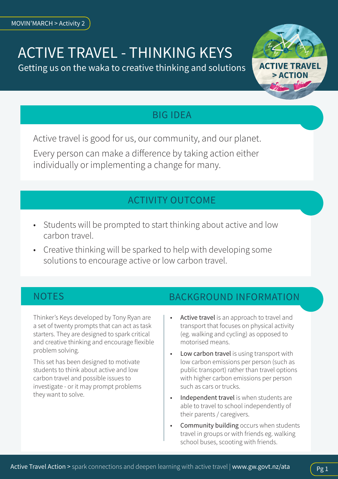# ACTIVE TRAVEL - THINKING KEYS

Getting us on the waka to creative thinking and solutions



## BIG IDEA

Active travel is good for us, our community, and our planet. Every person can make a difference by taking action either individually or implementing a change for many.

## ACTIVITY OUTCOME

- Students will be prompted to start thinking about active and low carbon travel.
- Creative thinking will be sparked to help with developing some solutions to encourage active or low carbon travel.

Thinker's Keys developed by Tony Ryan are a set of twenty prompts that can act as task starters. They are designed to spark critical and creative thinking and encourage flexible problem solving.

This set has been designed to motivate students to think about active and low carbon travel and possible issues to investigate - or it may prompt problems they want to solve.

## NOTES BACKGROUND INFORMATION

- Active travel is an approach to travel and transport that focuses on physical activity (eg. walking and cycling) as opposed to motorised means.
- Low carbon travel is using transport with low carbon emissions per person (such as public transport) rather than travel options with higher carbon emissions per person such as cars or trucks.
- Independent travel is when students are able to travel to school independently of their parents / caregivers.
- Community building occurs when students travel in groups or with friends eg. walking school buses, scooting with friends.